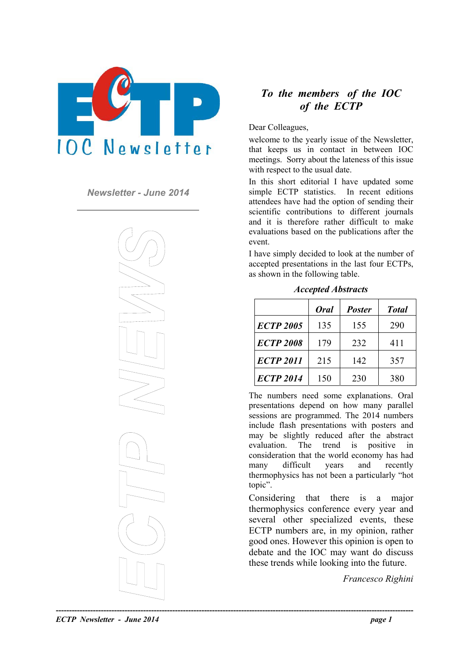

*Newsletter - June 2014* 



# *To the members of the IOC of the ECTP*

Dear Colleagues,

welcome to the yearly issue of the Newsletter, that keeps us in contact in between IOC meetings. Sorry about the lateness of this issue with respect to the usual date.

In this short editorial I have updated some simple ECTP statistics. In recent editions attendees have had the option of sending their scientific contributions to different journals and it is therefore rather difficult to make evaluations based on the publications after the event.

I have simply decided to look at the number of accepted presentations in the last four ECTPs, as shown in the following table.

|                  | Oral | <b>Poster</b> | <b>Total</b> |
|------------------|------|---------------|--------------|
| <b>ECTP 2005</b> | 135  | 155           | 290          |
| <b>ECTP 2008</b> | 179  | 232           | 411          |
| <b>ECTP 2011</b> | 215  | 142           | 357          |
| <b>ECTP 2014</b> | 150  | 230           | 380          |

*Accepted Abstracts* 

The numbers need some explanations. Oral presentations depend on how many parallel sessions are programmed. The 2014 numbers include flash presentations with posters and may be slightly reduced after the abstract evaluation. The trend is positive in consideration that the world economy has had many difficult years and recently thermophysics has not been a particularly "hot topic".

Considering that there is a major thermophysics conference every year and several other specialized events, these ECTP numbers are, in my opinion, rather good ones. However this opinion is open to debate and the IOC may want do discuss these trends while looking into the future.

*Francesco Righini*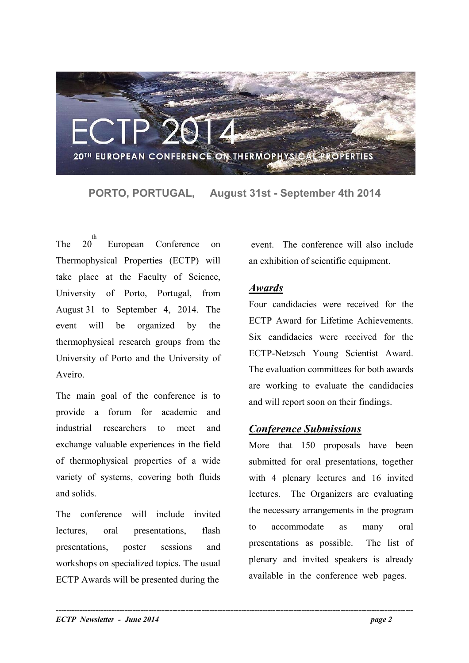

**PORTO, PORTUGAL, August 31st - September 4th 2014** 

The 20<sup>"</sup> th European Conference on Thermophysical Properties (ECTP) will take place at the Faculty of Science, University of Porto, Portugal, from August 31 to September 4, 2014. The event will be organized by the thermophysical research groups from the University of Porto and the University of Aveiro.

The main goal of the conference is to and will report soon on their findings. provide a forum for academic and industrial researchers to meet and exchange valuable experiences in the field of thermophysical properties of a wide variety of systems, covering both fluids and solids.

The conference will include invited lectures, oral presentations, flash presentations, poster sessions and workshops on specialized topics. The usual ECTP Awards will be presented during the

event. The conference will also include an exhibition of scientific equipment.

#### *Awards*

Four candidacies were received for the ECTP Award for Lifetime Achievements. Six candidacies were received for the ECTP-Netzsch Young Scientist Award. The evaluation committees for both awards are working to evaluate the candidacies

## *Conference Submissions*

More that 150 proposals have been submitted for oral presentations, together with 4 plenary lectures and 16 invited lectures. The Organizers are evaluating the necessary arrangements in the program to accommodate as many oral presentations as possible. The list of plenary and invited speakers is already available in the conference web pages.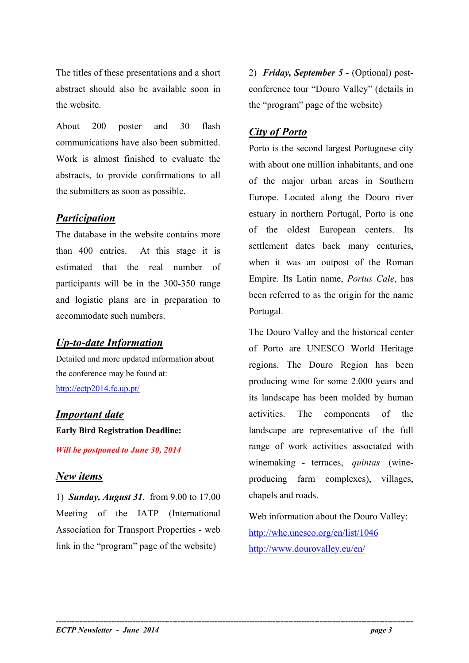The titles of these presentations and a short abstract should also be available soon in the website.

About 200 poster and 30 flash communications have also been submitted. Work is almost finished to evaluate the abstracts, to provide confirmations to all the submitters as soon as possible.

#### *Participation*

The database in the website contains more than 400 entries. At this stage it is estimated that the real number of participants will be in the 300-350 range and logistic plans are in preparation to accommodate such numbers.

## *Up-to-date Information*

Detailed and more updated information about the conference may be found at: <http://ectp2014.fc.up.pt/>

## *Important date*

**Early Bird Registration Deadline:** 

*Will be postponed to June 30, 2014* 

#### *New items*

1) *Sunday, August 31*, from 9.00 to 17.00 Meeting of the IATP (International Association for Transport Properties - web link in the "program" page of the website)

2) *Friday, September 5* - (Optional) postconference tour "Douro Valley" (details in the "program" page of the website)

# *City of Porto*

Porto is the second largest Portuguese city with about one million inhabitants, and one of the major urban areas in Southern Europe. Located along the Douro river estuary in northern Portugal, Porto is one of the oldest European centers. Its settlement dates back many centuries, when it was an outpost of the Roman Empire. Its Latin name, *Portus Cale*, has been referred to as the origin for the name Portugal.

The Douro Valley and the historical center of Porto are UNESCO World Heritage regions. The Douro Region has been producing wine for some 2.000 years and its landscape has been molded by human activities. The components of the landscape are representative of the full range of work activities associated with winemaking - terraces, *quintas* (wineproducing farm complexes), villages, chapels and roads.

Web information about the Douro Valley: <http://whc.unesco.org/en/list/1046> <http://www.dourovalley.eu/en/>